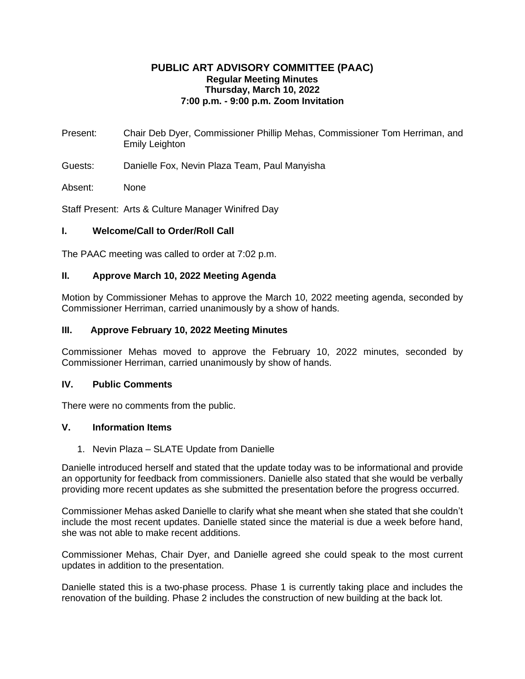## **PUBLIC ART ADVISORY COMMITTEE (PAAC) Regular Meeting Minutes Thursday, March 10, 2022 7:00 p.m. - 9:00 p.m. Zoom Invitation**

Present: Chair Deb Dyer, Commissioner Phillip Mehas, Commissioner Tom Herriman, and Emily Leighton

Guests: Danielle Fox, Nevin Plaza Team, Paul Manyisha

Absent: None

Staff Present: Arts & Culture Manager Winifred Day

# **I. Welcome/Call to Order/Roll Call**

The PAAC meeting was called to order at 7:02 p.m.

# **II. Approve March 10, 2022 Meeting Agenda**

Motion by Commissioner Mehas to approve the March 10, 2022 meeting agenda, seconded by Commissioner Herriman, carried unanimously by a show of hands.

# **III. Approve February 10, 2022 Meeting Minutes**

Commissioner Mehas moved to approve the February 10, 2022 minutes, seconded by Commissioner Herriman, carried unanimously by show of hands.

# **IV. Public Comments**

There were no comments from the public.

# **V. Information Items**

1. Nevin Plaza – SLATE Update from Danielle

Danielle introduced herself and stated that the update today was to be informational and provide an opportunity for feedback from commissioners. Danielle also stated that she would be verbally providing more recent updates as she submitted the presentation before the progress occurred.

Commissioner Mehas asked Danielle to clarify what she meant when she stated that she couldn't include the most recent updates. Danielle stated since the material is due a week before hand, she was not able to make recent additions.

Commissioner Mehas, Chair Dyer, and Danielle agreed she could speak to the most current updates in addition to the presentation.

Danielle stated this is a two-phase process. Phase 1 is currently taking place and includes the renovation of the building. Phase 2 includes the construction of new building at the back lot.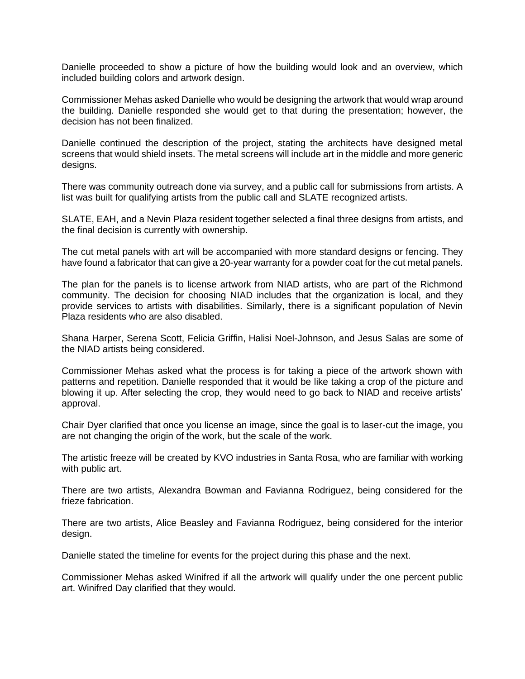Danielle proceeded to show a picture of how the building would look and an overview, which included building colors and artwork design.

Commissioner Mehas asked Danielle who would be designing the artwork that would wrap around the building. Danielle responded she would get to that during the presentation; however, the decision has not been finalized.

Danielle continued the description of the project, stating the architects have designed metal screens that would shield insets. The metal screens will include art in the middle and more generic designs.

There was community outreach done via survey, and a public call for submissions from artists. A list was built for qualifying artists from the public call and SLATE recognized artists.

SLATE, EAH, and a Nevin Plaza resident together selected a final three designs from artists, and the final decision is currently with ownership.

The cut metal panels with art will be accompanied with more standard designs or fencing. They have found a fabricator that can give a 20-year warranty for a powder coat for the cut metal panels.

The plan for the panels is to license artwork from NIAD artists, who are part of the Richmond community. The decision for choosing NIAD includes that the organization is local, and they provide services to artists with disabilities. Similarly, there is a significant population of Nevin Plaza residents who are also disabled.

Shana Harper, Serena Scott, Felicia Griffin, Halisi Noel-Johnson, and Jesus Salas are some of the NIAD artists being considered.

Commissioner Mehas asked what the process is for taking a piece of the artwork shown with patterns and repetition. Danielle responded that it would be like taking a crop of the picture and blowing it up. After selecting the crop, they would need to go back to NIAD and receive artists' approval.

Chair Dyer clarified that once you license an image, since the goal is to laser-cut the image, you are not changing the origin of the work, but the scale of the work.

The artistic freeze will be created by KVO industries in Santa Rosa, who are familiar with working with public art.

There are two artists, Alexandra Bowman and Favianna Rodriguez, being considered for the frieze fabrication.

There are two artists, Alice Beasley and Favianna Rodriguez, being considered for the interior design.

Danielle stated the timeline for events for the project during this phase and the next.

Commissioner Mehas asked Winifred if all the artwork will qualify under the one percent public art. Winifred Day clarified that they would.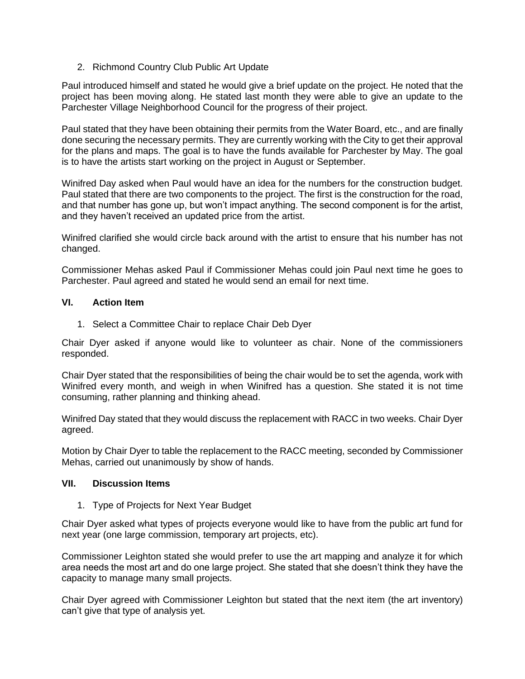2. Richmond Country Club Public Art Update

Paul introduced himself and stated he would give a brief update on the project. He noted that the project has been moving along. He stated last month they were able to give an update to the Parchester Village Neighborhood Council for the progress of their project.

Paul stated that they have been obtaining their permits from the Water Board, etc., and are finally done securing the necessary permits. They are currently working with the City to get their approval for the plans and maps. The goal is to have the funds available for Parchester by May. The goal is to have the artists start working on the project in August or September.

Winifred Day asked when Paul would have an idea for the numbers for the construction budget. Paul stated that there are two components to the project. The first is the construction for the road, and that number has gone up, but won't impact anything. The second component is for the artist, and they haven't received an updated price from the artist.

Winifred clarified she would circle back around with the artist to ensure that his number has not changed.

Commissioner Mehas asked Paul if Commissioner Mehas could join Paul next time he goes to Parchester. Paul agreed and stated he would send an email for next time.

# **VI. Action Item**

1. Select a Committee Chair to replace Chair Deb Dyer

Chair Dyer asked if anyone would like to volunteer as chair. None of the commissioners responded.

Chair Dyer stated that the responsibilities of being the chair would be to set the agenda, work with Winifred every month, and weigh in when Winifred has a question. She stated it is not time consuming, rather planning and thinking ahead.

Winifred Day stated that they would discuss the replacement with RACC in two weeks. Chair Dyer agreed.

Motion by Chair Dyer to table the replacement to the RACC meeting, seconded by Commissioner Mehas, carried out unanimously by show of hands.

#### **VII. Discussion Items**

1. Type of Projects for Next Year Budget

Chair Dyer asked what types of projects everyone would like to have from the public art fund for next year (one large commission, temporary art projects, etc).

Commissioner Leighton stated she would prefer to use the art mapping and analyze it for which area needs the most art and do one large project. She stated that she doesn't think they have the capacity to manage many small projects.

Chair Dyer agreed with Commissioner Leighton but stated that the next item (the art inventory) can't give that type of analysis yet.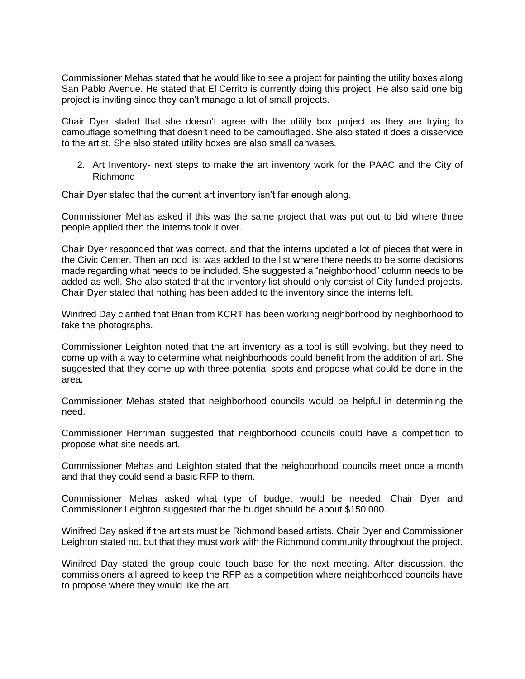Commissioner Mehas stated that he would like to see a project for painting the utility boxes along San Pablo Avenue. He stated that El Cerrito is currently doing this project. He also said one big project is inviting since they can't manage a lot of small projects.

Chair Dyer stated that she doesn't agree with the utility box project as they are trying to camouflage something that doesn't need to be camouflaged. She also stated it does a disservice to the artist. She also stated utility boxes are also small canvases.

2. Art Inventory- next steps to make the art inventory work for the PAAC and the City of Richmond

Chair Dyer stated that the current art inventory isn't far enough along.

Commissioner Mehas asked if this was the same project that was put out to bid where three people applied then the interns took it over.

Chair Dyer responded that was correct, and that the interns updated a lot of pieces that were in the Civic Center. Then an odd list was added to the list where there needs to be some decisions made regarding what needs to be included. She suggested a "neighborhood" column needs to be added as well. She also stated that the inventory list should only consist of City funded projects. Chair Dyer stated that nothing has been added to the inventory since the interns left.

Winifred Day clarified that Brian from KCRT has been working neighborhood by neighborhood to take the photographs.

Commissioner Leighton noted that the art inventory as a tool is still evolving, but they need to come up with a way to determine what neighborhoods could benefit from the addition of art. She suggested that they come up with three potential spots and propose what could be done in the area.

Commissioner Mehas stated that neighborhood councils would be helpful in determining the need.

Commissioner Herriman suggested that neighborhood councils could have a competition to propose what site needs art.

Commissioner Mehas and Leighton stated that the neighborhood councils meet once a month and that they could send a basic RFP to them.

Commissioner Mehas asked what type of budget would be needed. Chair Dyer and Commissioner Leighton suggested that the budget should be about \$150,000.

Winifred Day asked if the artists must be Richmond based artists. Chair Dyer and Commissioner Leighton stated no, but that they must work with the Richmond community throughout the project.

Winifred Day stated the group could touch base for the next meeting. After discussion, the commissioners all agreed to keep the RFP as a competition where neighborhood councils have to propose where they would like the art.